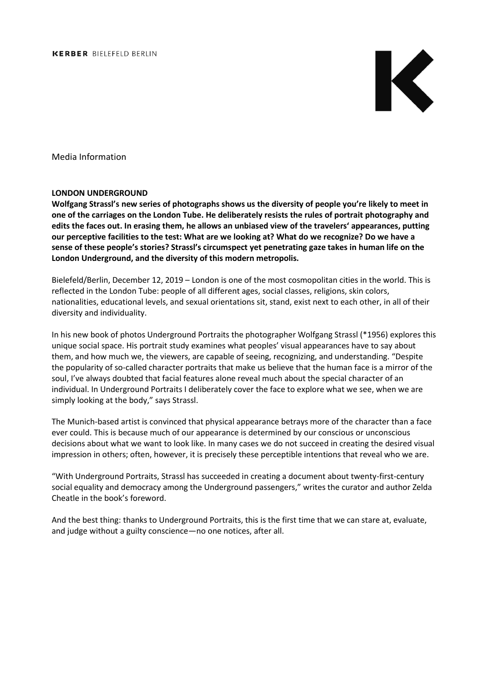

Media Information

## **LONDON UNDERGROUND**

**Wolfgang Strassl's new series of photographs shows us the diversity of people you're likely to meet in one of the carriages on the London Tube. He deliberately resists the rules of portrait photography and edits the faces out. In erasing them, he allows an unbiased view of the travelers' appearances, putting our perceptive facilities to the test: What are we looking at? What do we recognize? Do we have a sense of these people's stories? Strassl's circumspect yet penetrating gaze takes in human life on the London Underground, and the diversity of this modern metropolis.**

Bielefeld/Berlin, December 12, 2019 – London is one of the most cosmopolitan cities in the world. This is reflected in the London Tube: people of all different ages, social classes, religions, skin colors, nationalities, educational levels, and sexual orientations sit, stand, exist next to each other, in all of their diversity and individuality.

In his new book of photos Underground Portraits the photographer Wolfgang Strassl (\*1956) explores this unique social space. His portrait study examines what peoples' visual appearances have to say about them, and how much we, the viewers, are capable of seeing, recognizing, and understanding. "Despite the popularity of so-called character portraits that make us believe that the human face is a mirror of the soul, I've always doubted that facial features alone reveal much about the special character of an individual. In Underground Portraits I deliberately cover the face to explore what we see, when we are simply looking at the body," says Strassl.

The Munich-based artist is convinced that physical appearance betrays more of the character than a face ever could. This is because much of our appearance is determined by our conscious or unconscious decisions about what we want to look like. In many cases we do not succeed in creating the desired visual impression in others; often, however, it is precisely these perceptible intentions that reveal who we are.

"With Underground Portraits, Strassl has succeeded in creating a document about twenty-first-century social equality and democracy among the Underground passengers," writes the curator and author Zelda Cheatle in the book's foreword.

And the best thing: thanks to Underground Portraits, this is the first time that we can stare at, evaluate, and judge without a guilty conscience—no one notices, after all.